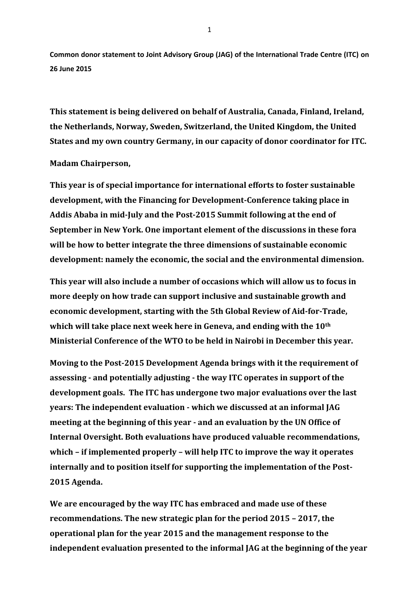**Common donor statement to Joint Advisory Group (JAG) of the International Trade Centre (ITC) on 26 June 2015**

**This statement is being delivered on behalf of Australia, Canada, Finland, Ireland, the Netherlands, Norway, Sweden, Switzerland, the United Kingdom, the United States and my own country Germany, in our capacity of donor coordinator for ITC.**

## **Madam Chairperson,**

**This year is of special importance for international efforts to foster sustainable development, with the Financing for Development-Conference taking place in Addis Ababa in mid-July and the Post-2015 Summit following at the end of September in New York. One important element of the discussions in these fora will be how to better integrate the three dimensions of sustainable economic development: namely the economic, the social and the environmental dimension.**

**This year will also include a number of occasions which will allow us to focus in more deeply on how trade can support inclusive and sustainable growth and economic development, starting with the 5th Global Review of Aid-for-Trade, which will take place next week here in Geneva, and ending with the 10th Ministerial Conference of the WTO to be held in Nairobi in December this year.**

**Moving to the Post-2015 Development Agenda brings with it the requirement of assessing - and potentially adjusting - the way ITC operates in support of the development goals. The ITC has undergone two major evaluations over the last years: The independent evaluation - which we discussed at an informal JAG meeting at the beginning of this year - and an evaluation by the UN Office of Internal Oversight. Both evaluations have produced valuable recommendations, which – if implemented properly – will help ITC to improve the way it operates internally and to position itself for supporting the implementation of the Post-2015 Agenda.**

**We are encouraged by the way ITC has embraced and made use of these recommendations. The new strategic plan for the period 2015 – 2017, the operational plan for the year 2015 and the management response to the independent evaluation presented to the informal JAG at the beginning of the year** 

1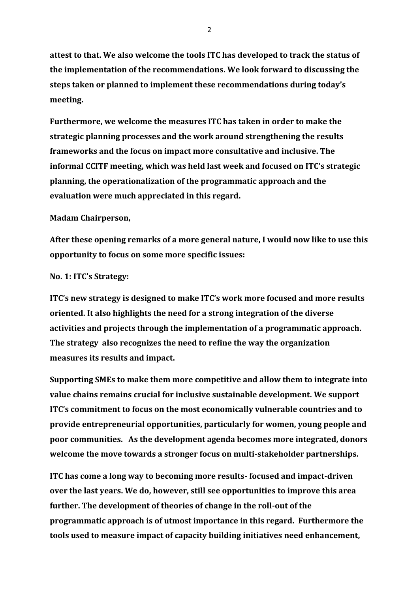**attest to that. We also welcome the tools ITC has developed to track the status of the implementation of the recommendations. We look forward to discussing the steps taken or planned to implement these recommendations during today's meeting.**

**Furthermore, we welcome the measures ITC has taken in order to make the strategic planning processes and the work around strengthening the results frameworks and the focus on impact more consultative and inclusive. The informal CCITF meeting, which was held last week and focused on ITC's strategic planning, the operationalization of the programmatic approach and the evaluation were much appreciated in this regard.**

## **Madam Chairperson,**

**After these opening remarks of a more general nature, I would now like to use this opportunity to focus on some more specific issues:**

## **No. 1: ITC's Strategy:**

**ITC's new strategy is designed to make ITC's work more focused and more results oriented. It also highlights the need for a strong integration of the diverse activities and projects through the implementation of a programmatic approach. The strategy also recognizes the need to refine the way the organization measures its results and impact.** 

**Supporting SMEs to make them more competitive and allow them to integrate into value chains remains crucial for inclusive sustainable development. We support ITC's commitment to focus on the most economically vulnerable countries and to provide entrepreneurial opportunities, particularly for women, young people and poor communities. As the development agenda becomes more integrated, donors welcome the move towards a stronger focus on multi-stakeholder partnerships.**

**ITC has come a long way to becoming more results- focused and impact-driven over the last years. We do, however, still see opportunities to improve this area further. The development of theories of change in the roll-out of the programmatic approach is of utmost importance in this regard. Furthermore the tools used to measure impact of capacity building initiatives need enhancement,**